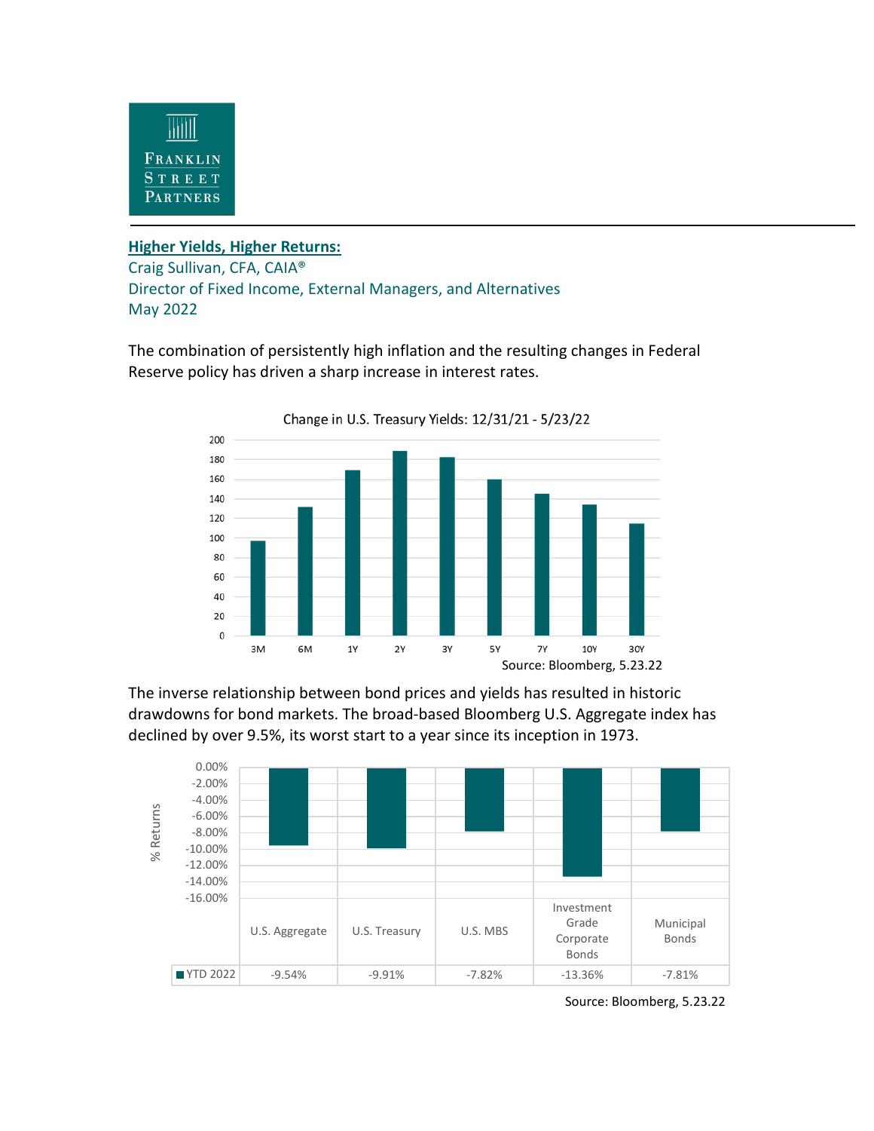

## **Higher Yields, Higher Returns:**

Craig Sullivan, CFA, CAIA® Director of Fixed Income, External Managers, and Alternatives May 2022

The combination of persistently high inflation and the resulting changes in Federal Reserve policy has driven a sharp increase in interest rates.



The inverse relationship between bond prices and yields has resulted in historic drawdowns for bond markets. The broad-based Bloomberg U.S. Aggregate index has declined by over 9.5%, its worst start to a year since its inception in 1973.



Source: Bloomberg, 5.23.22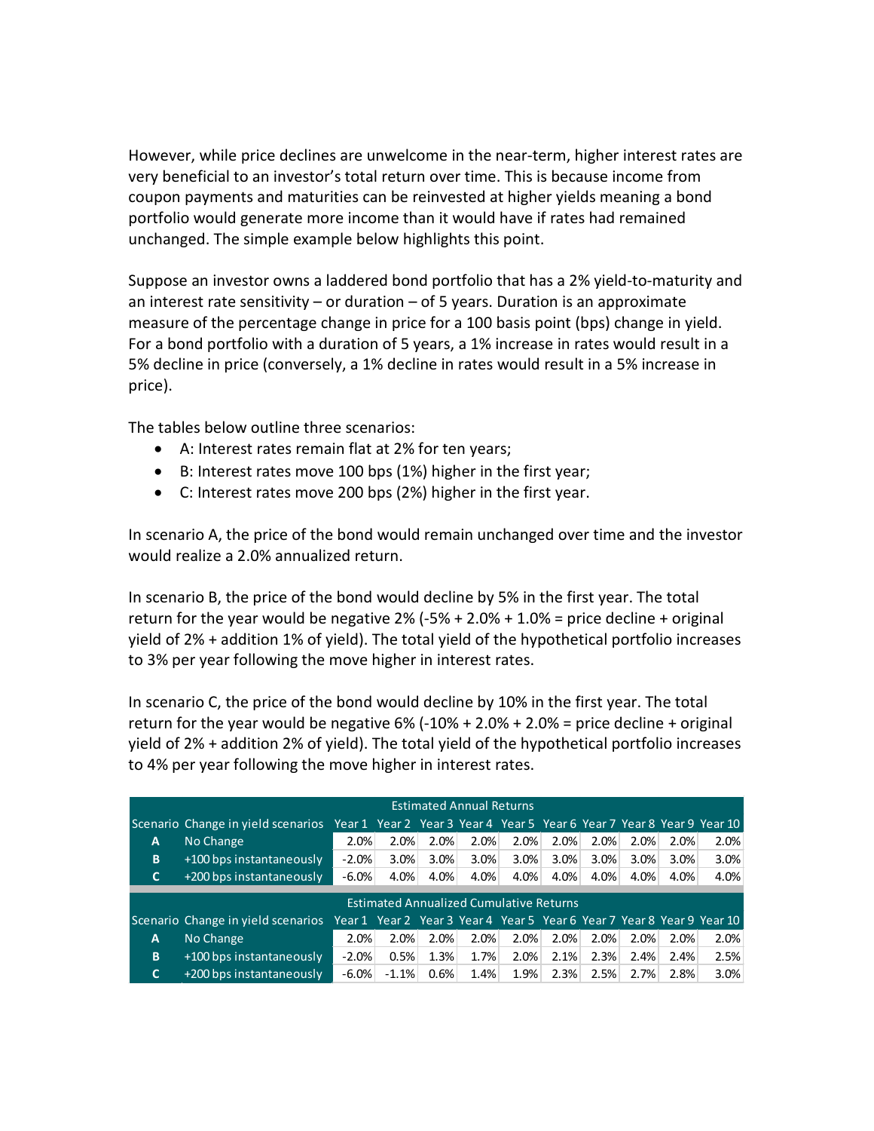However, while price declines are unwelcome in the near-term, higher interest rates are very beneficial to an investor's total return over time. This is because income from coupon payments and maturities can be reinvested at higher yields meaning a bond portfolio would generate more income than it would have if rates had remained unchanged. The simple example below highlights this point.

Suppose an investor owns a laddered bond portfolio that has a 2% yield-to-maturity and an interest rate sensitivity  $-$  or duration  $-$  of 5 years. Duration is an approximate measure of the percentage change in price for a 100 basis point (bps) change in yield. For a bond portfolio with a duration of 5 years, a 1% increase in rates would result in a 5% decline in price (conversely, a 1% decline in rates would result in a 5% increase in price).

The tables below outline three scenarios:

- A: Interest rates remain flat at 2% for ten years;
- B: Interest rates move 100 bps (1%) higher in the first year;
- C: Interest rates move 200 bps (2%) higher in the first year.

In scenario A, the price of the bond would remain unchanged over time and the investor would realize a 2.0% annualized return.

In scenario B, the price of the bond would decline by 5% in the first year. The total return for the year would be negative  $2\%$  (-5% + 2.0% + 1.0% = price decline + original yield of 2% + addition 1% of yield). The total yield of the hypothetical portfolio increases to 3% per year following the move higher in interest rates.

In scenario C, the price of the bond would decline by 10% in the first year. The total return for the year would be negative  $6\%$  (-10% + 2.0% + 2.0% = price decline + original yield of 2% + addition 2% of yield). The total yield of the hypothetical portfolio increases to 4% per year following the move higher in interest rates.

|                                                | <b>Estimated Annual Returns</b>                                                                           |         |         |      |         |      |      |      |      |         |                                                                        |
|------------------------------------------------|-----------------------------------------------------------------------------------------------------------|---------|---------|------|---------|------|------|------|------|---------|------------------------------------------------------------------------|
|                                                | Scenario Change in yield scenarios Year 1 Year 2 Year 3 Year 4 Year 5 Year 6 Year 7 Year 8 Year 9 Year 10 |         |         |      |         |      |      |      |      |         |                                                                        |
| A                                              | No Change                                                                                                 | 2.0%    | 2.0%    | 2.0% | 2.0%    | 2.0% | 2.0% | 2.0% | 2.0% | 2.0%    | 2.0%                                                                   |
| B                                              | $+100$ bps instantaneously                                                                                | $-2.0%$ | $3.0\%$ | 3.0% | $3.0\%$ | 3.0% | 3.0% | 3.0% | 3.0% | 3.0%    | 3.0%                                                                   |
| C.                                             | +200 bps instantaneously                                                                                  | $-6.0%$ | 4.0%    | 4.0% | 4.0%    | 4.0% | 4.0% | 4.0% | 4.0% | $4.0\%$ | 4.0%                                                                   |
|                                                |                                                                                                           |         |         |      |         |      |      |      |      |         |                                                                        |
| <b>Estimated Annualized Cumulative Returns</b> |                                                                                                           |         |         |      |         |      |      |      |      |         |                                                                        |
|                                                | Scenario Change in yield scenarios                                                                        |         |         |      |         |      |      |      |      |         | Year 1 Year 2 Year 3 Year 4 Year 5 Year 6 Year 7 Year 8 Year 9 Year 10 |
| A                                              | No Change                                                                                                 | 2.0%    | 2.0%    | 2.0% | 2.0%    | 2.0% | 2.0% | 2.0% | 2.0% | 2.0%    | 2.0%                                                                   |
| B                                              | +100 bps instantaneously                                                                                  | $-2.0%$ | 0.5%    | 1.3% | 1.7%    | 2.0% | 2.1% | 2.3% | 2.4% | 2.4%    | 2.5%                                                                   |
| C.                                             | $+200$ bps instantaneously                                                                                | $-6.0%$ | $-1.1%$ | 0.6% | 1.4%    | 1.9% | 2.3% | 2.5% | 2.7% | 2.8%    | 3.0%                                                                   |